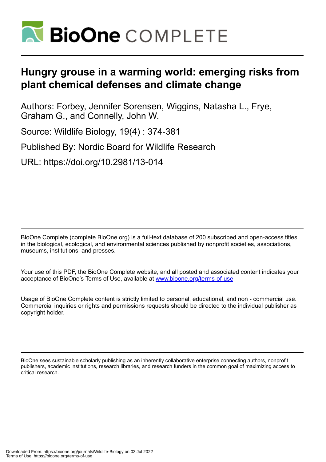

# **Hungry grouse in a warming world: emerging risks from plant chemical defenses and climate change**

Authors: Forbey, Jennifer Sorensen, Wiggins, Natasha L., Frye, Graham G., and Connelly, John W.

Source: Wildlife Biology, 19(4) : 374-381

Published By: Nordic Board for Wildlife Research

URL: https://doi.org/10.2981/13-014

BioOne Complete (complete.BioOne.org) is a full-text database of 200 subscribed and open-access titles in the biological, ecological, and environmental sciences published by nonprofit societies, associations, museums, institutions, and presses.

Your use of this PDF, the BioOne Complete website, and all posted and associated content indicates your acceptance of BioOne's Terms of Use, available at www.bioone.org/terms-of-use.

Usage of BioOne Complete content is strictly limited to personal, educational, and non - commercial use. Commercial inquiries or rights and permissions requests should be directed to the individual publisher as copyright holder.

BioOne sees sustainable scholarly publishing as an inherently collaborative enterprise connecting authors, nonprofit publishers, academic institutions, research libraries, and research funders in the common goal of maximizing access to critical research.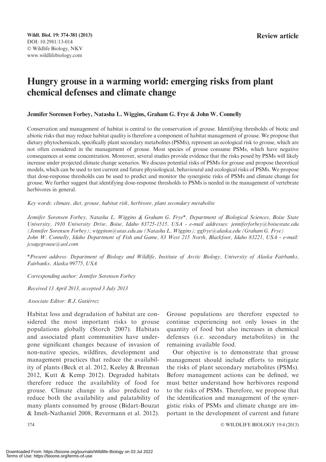# Hungry grouse in a warming world: emerging risks from plant chemical defenses and climate change

Jennifer Sorensen Forbey, Natasha L. Wiggins, Graham G. Frye & John W. Connelly

Conservation and management of habitat is central to the conservation of grouse. Identifying thresholds of biotic and abiotic risks that may reduce habitat quality is therefore a component of habitat management of grouse. We propose that dietary phytochemicals, specifically plant secondary metabolites (PSMs), represent an ecological risk to grouse, which are not often considered in the management of grouse. Most species of grouse consume PSMs, which have negative consequences at some concentration. Moreover, several studies provide evidence that the risks posed by PSMs will likely increase under projected climate change scenarios. We discuss potential risks of PSMs for grouse and propose theoretical models, which can be used to test current and future physiological, behavioural and ecological risks of PSMs. We propose that dose-response thresholds can be used to predict and monitor the synergistic risks of PSMs and climate change for grouse. We further suggest that identifying dose-response thresholds to PSMs is needed in the management of vertebrate herbivores in general.

Key words: climate, diet, grouse, habitat risk, herbivore, plant secondary metabolite

Jennifer Sorensen Forbey, Natasha L. Wiggins & Graham G. Frye\*, Department of Biological Sciences, Boise State University, 1910 University Drive, Boise, Idaho 83725-1515, USA - e-mail addresses: jenniferforbey@boisestate.edu (Jennifer Sorensen Forbey); wigginsn@utas.edu.au (Natasha L. Wiggins); ggfrye@alaska.edu (Graham G. Frye) John W. Connelly, Idaho Department of Fish and Game, 83 West 215 North, Blackfoot, Idaho 83221, USA - e-mail: jcsagegrouse@aol.com

\*Present address: Department of Biology and Wildlife, Institute of Arctic Biology, University of Alaska Fairbanks, Fairbanks, Alaska 99775, USA

Corresponding author: Jennifer Sorensen Forbey

Received 13 April 2013, accepted 3 July 2013

Associate Editor: R.J. Gutiérrez

Habitat loss and degradation of habitat are considered the most important risks to grouse populations globally (Storch 2007). Habitats and associated plant communities have undergone significant changes because of invasion of non-native species, wildfires, development and management practices that reduce the availability of plants (Beck et al. 2012, Keeley & Brennan 2012, Kutt & Kemp 2012). Degraded habitats therefore reduce the availability of food for grouse. Climate change is also predicted to reduce both the availability and palatability of many plants consumed by grouse (Bidart-Bouzat & Imeh-Nathaniel 2008, Revermann et al. 2012). Grouse populations are therefore expected to continue experiencing not only losses in the quantity of food but also increases in chemical defenses (i.e. secondary metabolites) in the remaining available food.

Our objective is to demonstrate that grouse management should include efforts to mitigate the risks of plant secondary metabolites (PSMs). Before management actions can be defined, we must better understand how herbivores respond to the risks of PSMs. Therefore, we propose that the identification and management of the synergistic risks of PSMs and climate change are important in the development of current and future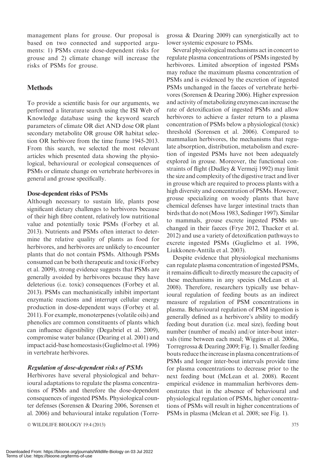management plans for grouse. Our proposal is based on two connected and supported arguments: 1) PSMs create dose-dependent risks for grouse and 2) climate change will increase the risks of PSMs for grouse.

# **Methods**

To provide a scientific basis for our arguments, we performed a literature search using the ISI Web of Knowledge database using the keyword search parameters of climate OR diet AND dose OR plant secondary metabolite OR grouse OR habitat selection OR herbivore from the time frame 1945-2013. From this search, we selected the most relevant articles which presented data showing the physiological, behavioural or ecological consequences of PSMs or climate change on vertebrate herbivores in general and grouse specifically.

## Dose-dependent risks of PSMs

Although necessary to sustain life, plants pose significant dietary challenges to herbivores because of their high fibre content, relatively low nutritional value and potentially toxic PSMs (Forbey et al. 2013). Nutrients and PSMs often interact to determine the relative quality of plants as food for herbivores, and herbivores are unlikely to encounter plants that do not contain PSMs. Although PSMs consumed can be both therapeutic and toxic (Forbey et al. 2009), strong evidence suggests that PSMs are generally avoided by herbivores because they have deleterious (i.e. toxic) consequences (Forbey et al. 2013). PSMs can mechanistically inhibit important enzymatic reactions and interrupt cellular energy production in dose-dependent ways (Forbey et al. 2011). For example, monoterpenes (volatile oils) and phenolics are common constituents of plants which can influence digestibility (Degabriel et al. 2009), compromise water balance (Dearing et al. 2001) and impact acid-base homeostasis (Guglielmo et al. 1996) in vertebrate herbivores.

# Regulation of dose-dependent risks of PSMs

Herbivores have several physiological and behavioural adaptations to regulate the plasma concentrations of PSMs and therefore the dose-dependent consequences of ingested PSMs. Physiological counter defenses (Sorensen & Dearing 2006, Sorensen et al. 2006) and behavioural intake regulation (Torre-

- WILDLIFE BIOLOGY 19:4 (2013) 375

grossa & Dearing 2009) can synergistically act to lower systemic exposure to PSMs.

Several physiological mechanisms act in concert to regulate plasma concentrations of PSMs ingested by herbivores. Limited absorption of ingested PSMs may reduce the maximum plasma concentration of PSMs and is evidenced by the excretion of ingested PSMs unchanged in the faeces of vertebrate herbivores (Sorensen & Dearing 2006). Higher expression and activity of metabolizing enzymes can increase the rate of detoxification of ingested PSMs and allow herbivores to achieve a faster return to a plasma concentration of PSMs below a physiological (toxic) threshold (Sorensen et al. 2006). Compared to mammalian herbivores, the mechanisms that regulate absorption, distribution, metabolism and excretion of ingested PSMs have not been adequately explored in grouse. Moreover, the functional constraints of flight (Dudley & Vermeij 1992) may limit the size and complexity of the digestive tract and liver in grouse which are required to process plants with a high diversity and concentration of PSMs. However, grouse specializing on woody plants that have chemical defenses have larger intestinal tracts than birds that do not (Moss 1983, Sedinger 1997). Similar to mammals, grouse excrete ingested PSMs unchanged in their faeces (Frye 2012, Thacker et al. 2012) and use a variety of detoxification pathways to excrete ingested PSMs (Guglielmo et al. 1996, Liukkonen-Anttila et al. 2003).

Despite evidence that physiological mechanisms can regulate plasma concentration of ingested PSMs, it remains difficult to directly measure the capacity of these mechanisms in any species (McLean et al. 2008). Therefore, researchers typically use behavioural regulation of feeding bouts as an indirect measure of regulation of PSM concentrations in plasma. Behavioural regulation of PSM ingestion is generally defined as a herbivore's ability to modify feeding bout duration (i.e. meal size), feeding bout number (number of meals) and/or inter-bout intervals (time between each meal; Wiggins et al. 2006a, Torregrossa & Dearing 2009; Fig. 1). Smaller feeding bouts reduce the increase in plasma concentrations of PSMs and longer inter-bout intervals provide time for plasma concentrations to decrease prior to the next feeding bout (McLean et al. 2008). Recent empirical evidence in mammalian herbivores demonstrates that in the absence of behavioural and physiological regulation of PSMs, higher concentrations of PSMs will result in higher concentrations of PSMs in plasma (Mclean et al. 2008; see Fig. 1).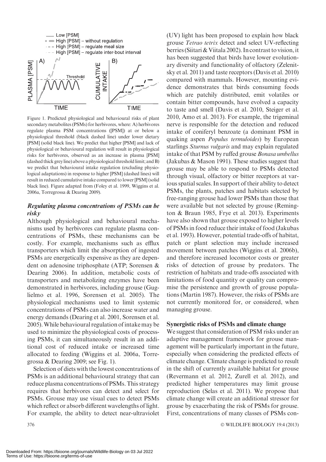

Figure 1. Predicted physiological and behavioural risks of plant secondary metabolites (PSMs) for herbivores, where: A) herbivores regulate plasma PSM concentrations ([PSM]) at or below a physiological threshold (black dashed line) under lower dietary [PSM] (solid black line). We predict that higher [PSM] and lack of physiological or behavioural regulation will result in physiological risks for herbivores, observed as an increase in plasma [PSM] (dashed thick greyline) above a physiological threshold limit; andB) we predict that behavioural intake regulation (excluding physiological adaptations) in response to higher [PSM] (dashed lines) will result in reduced cumulative intake compared to lower [PSM] (solid black line). Figure adapted from (Foley et al. 1999, Wiggins et al. 2006a, Torregrossa & Dearing 2009).

# Regulating plasma concentrations of PSMs can be risky

Although physiological and behavioural mechanisms used by herbivores can regulate plasma concentrations of PSMs, these mechanisms can be costly. For example, mechanisms such as efflux transporters which limit the absorption of ingested PSMs are energetically expensive as they are dependent on adenosine triphosphate (ATP; Sorensen & Dearing 2006). In addition, metabolic costs of transporters and metabolizing enzymes have been demonstrated in herbivores, including grouse (Guglielmo et al. 1996, Sorensen et al. 2005). The physiological mechanisms used to limit systemic concentrations of PSMs can also increase water and energy demands (Dearing et al. 2001, Sorensen et al. 2005).While behavioural regulation of intake may be used to minimize the physiological costs of processing PSMs, it can simultaneously result in an additional cost of reduced intake or increased time allocated to feeding (Wiggins et al. 2006a, Torregrossa & Dearing 2009; see Fig. 1).

Selection of diets with the lowest concentrations of PSMs is an additional behavioural strategy that can reduce plasma concentrations of PSMs. This strategy requires that herbivores can detect and select for PSMs. Grouse may use visual cues to detect PSMs which reflect or absorb different wavelengths of light. For example, the ability to detect near-ultraviolet

(UV) light has been proposed to explain how black grouse Tetrao tetrix detect and select UV-reflecting berries (Siitari & Viitala 2002). In contrast to vision, it has been suggested that birds have lower evolutionary diversity and functionality of olfactory (Zelenitsky et al. 2011) and taste receptors (Davis et al. 2010) compared with mammals. However, mounting evidence demonstrates that birds consuming foods which are patchily distributed, emit volatiles or contain bitter compounds, have evolved a capacity to taste and smell (Davis et al. 2010, Steiger et al. 2010, Amo et al. 2013). For example, the trigeminal nerve is responsible for the detection and reduced intake of coniferyl benzoate (a dominant PSM in quaking aspen Populus termuloides) by European starlings Sturnus vulgaris and may explain regulated intake of that PSM by ruffed grouse Bonasa umbellus (Jakubas & Mason 1991). These studies suggest that grouse may be able to respond to PSMs detected through visual, olfactory or bitter receptors at various spatial scales. In support of their ability to detect PSMs, the plants, patches and habitats selected by free-ranging grouse had lower PSMs than those that were available but not selected by grouse (Remington & Braun 1985, Frye et al. 2013). Experiments have also shown that grouse exposed to higher levels of PSMs in food reduce their intake of food (Jakubas et al. 1993). However, potential trade-offs of habitat, patch or plant selection may include increased movement between patches (Wiggins et al. 2006b), and therefore increased locomotor costs or greater risks of detection of grouse by predators. The restriction of habitats and trade-offs associated with limitations of food quantity or quality can compromise the persistence and growth of grouse populations (Martin 1987). However, the risks of PSMs are not currently monitored for, or considered, when managing grouse.

#### Synergistic risks of PSMs and climate change

We suggest that consideration of PSM risks under an adaptive management framework for grouse management will be particularly important in the future, especially when considering the predicted effects of climate change. Climate change is predicted to result in the shift of currently available habitat for grouse (Revermann et al. 2012, Zurell et al. 2012), and predicted higher temperatures may limit grouse reproduction (Selas et al. 2011). We propose that climate change will create an additional stressor for grouse by exacerbating the risk of PSMs for grouse. First, concentrations of many classes of PSMs con-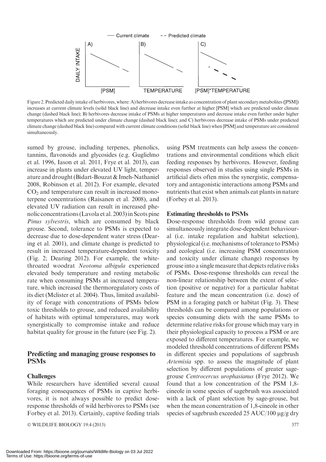

Figure 2.Predicted daily intake of herbivores, where: A) herbivores decrease intake as concentration of plant secondary metabolites ([PSM]) increases at current climate levels (solid black line) and decrease intake even further at higher [PSM] which are predicted under climate change (dashed black line); B) herbivores decrease intake of PSMs at higher temperatures and decrease intake even further under higher temperatures which are predicted under climate change (dashed black line); and C) herbivores decrease intake of PSMs under predicted climate change (dashed black line) compared with current climate conditions (solid black line) when [PSM] and temperature are considered simultaneously.

sumed by grouse, including terpenes, phenolics, tannins, flavonoids and glycosides (e.g. Guglielmo et al. 1996, Iason et al. 2011, Frye et al. 2013), can increase in plants under elevated UV light, temperature and drought (Bidart-Bouzat & Imeh-Nathaniel 2008, Robinson et al. 2012). For example, elevated  $CO<sub>2</sub>$  and temperature can result in increased monoterpene concentrations (Raisanen et al. 2008), and elevated UV radiation can result in increased phenolic concentrations (Lavola et al. 2003) in Scots pine Pinus sylvestris, which are consumed by black grouse. Second, tolerance to PSMs is expected to decrease due to dose-dependent water stress (Dearing et al. 2001), and climate change is predicted to result in increased temperature-dependent toxicity (Fig. 2; Dearing 2012). For example, the whitethroated woodrat Neotoma albigula experienced elevated body temperature and resting metabolic rate when consuming PSMs at increased temperature, which increased the thermoregulatory costs of its diet (Mclister et al. 2004). Thus, limited availability of forage with concentrations of PSMs below toxic thresholds to grouse, and reduced availability of habitats with optimal temperatures, may work synergistically to compromise intake and reduce habitat quality for grouse in the future (see Fig. 2).

#### Predicting and managing grouse responses to PSMs

#### **Challenges**

While researchers have identified several causal foraging consequences of PSMs in captive herbivores, it is not always possible to predict doseresponse thresholds of wild herbivores to PSMs (see Forbey et al. 2013). Certainly, captive feeding trials

© WILDLIFE BIOLOGY 19:4 (2013) 377

using PSM treatments can help assess the concentrations and environmental conditions which elicit feeding responses by herbivores. However, feeding responses observed in studies using single PSMs in artificial diets often miss the synergistic, compensatory and antagonistic interactions among PSMs and nutrients that exist when animals eat plants in nature (Forbey et al. 2013).

#### Estimating thresholds to PSMs

Dose-response thresholds from wild grouse can simultaneously integrate dose-dependent behavioural (i.e. intake regulation and habitat selection), physiological (i.e. mechanisms of tolerance to PSMs) and ecological (i.e. increasing PSM concentration and toxicity under climate change) responses by grouse into a single measure that depicts relative risks of PSMs. Dose-response thresholds can reveal the non-linear relationship between the extent of selection (positive or negative) for a particular habitat feature and the mean concentration (i.e. dose) of PSM in a foraging patch or habitat (Fig. 3). These thresholds can be compared among populations or species consuming diets with the same PSMs to determine relative risks for grouse which may vary in their physiological capacity to process a PSM or are exposed to different temperatures. For example, we modeled threshold concentrations of different PSMs in different species and populations of sagebrush Artemisia spp. to assess the magnitude of plant selection by different populations of greater sagegrouse Centrocercus urophasianus (Frye 2012). We found that a low concentration of the PSM 1,8 cineole in some species of sagebrush was associated with a lack of plant selection by sage-grouse, but when the mean concentration of 1,8-cineole in other species of sagebrush exceeded 25 AUC/100  $\mu$ g/g dry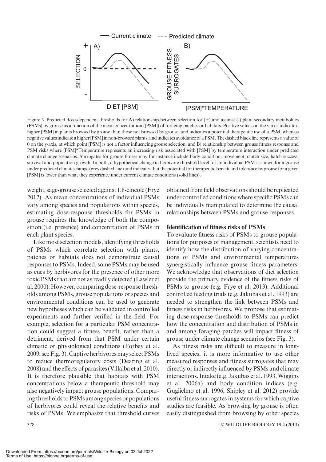

Figure 3. Predicted dose-dependent thresholds for A) relationship between selection for (+) and against (-) plant secondary metabolites (PSMs) by grouse as a function of the mean concentration ([PSM]) of foraging patches or habitats. Positive values on the y-axis indicate a higher [PSM] in plants browsed by grouse than those not browsed by grouse, and indicates a potential therapeutic use of a PSM, whereas negative valuesindicate a higher[PSM]in non-browsed plants, andindicates avoidance of a PSM.The dashed blackline represents a value of 0 on the y-axis, at which point [PSM] is not a factor influencing grouse selection; and B) relationship between grouse fitness response and PSM risks where [PSM]\*Temperature represents an increasing risk associated with [PSM] by temperature interaction under predicted climate change scenarios. Surrogates for grouse fitness may for instance include body condition, movement, clutch size, hatch success, survival and population growth. In both, a hypothetical change in herbivore threshold level for an individual PSM is shown for a grouse under predicted climate change (grey dashed line) and indicates that the potential for therapeutic benefit and tolerance by grouse for a given [PSM] is lower than what they experience under current climate conditions (solid lines).

weight, sage-grouse selected against 1,8-cineole (Frye 2012). As mean concentrations of individual PSMs vary among species and populations within species, estimating dose-response thresholds for PSMs in grouse requires the knowledge of both the composition (i.e. presence) and concentration of PSMs in each plant species.

Like most selection models, identifying thresholds of PSMs which correlate selection with plants, patches or habitats does not demonstrate causal responses to PSMs. Indeed, some PSMs may be used as cues by herbivores for the presence of other more toxic PSMs that are not as readily detected (Lawler et al. 2000). However, comparing dose-response thresholds among PSMs, grouse populations or species and environmental conditions can be used to generate new hypotheses which can be validated in controlled experiments and further verified in the field. For example, selection for a particular PSM concentration could suggest a fitness benefit, rather than a detriment, derived from that PSM under certain climatic or physiological conditions (Forbey et al. 2009; see Fig. 3). Captive herbivores may select PSMs to reduce thermoregulatory costs (Dearing et al. 2008) and the effects of parasites (Villalba et al. 2010). It is therefore plausible that habitats with PSM concentrations below a therapeutic threshold may also negatively impact grouse populations. Comparing thresholds to PSMs among species or populations of herbivores could reveal the relative benefits and risks of PSMs. We emphasize that threshold curves

obtained from field observations should be replicated under controlled conditions where specific PSMs can be individually manipulated to determine the causal relationships between PSMs and grouse responses.

#### Identification of fitness risks of PSMs

To evaluate fitness risks of PSMs to grouse populations for purposes of management, scientists need to identify how the distribution of varying concentrations of PSMs and environmental temperatures synergistically influence grouse fitness parameters. We acknowledge that observations of diet selection provide the primary evidence of the fitness risks of PSMs to grouse (e.g. Frye et al. 2013). Additional controlled feeding trials (e.g. Jakubas et al. 1993) are needed to strengthen the link between PSMs and fitness risks in herbivores. We propose that estimating dose-response thresholds to PSMs can predict how the concentration and distribution of PSMs in and among foraging patches will impact fitness of grouse under climate change scenarios (see Fig. 3).

As fitness risks are difficult to measure in longlived species, it is more informative to use other measured responses and fitness surrogates that may directly or indirectly influenced by PSMs and climate interactions. Intake (e.g. Jakubas et al. 1993, Wiggins et al. 2006a) and body condition indices (e.g. Guglielmo et al. 1996, Shipley et al. 2012) provide useful fitness surrogates in systems for which captive studies are feasible. As browsing by grouse is often easily distinguished from browsing by other species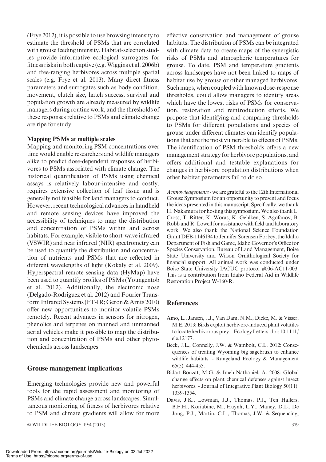(Frye 2012), it is possible to use browsing intensity to estimate the threshold of PSMs that are correlated with grouse feeding intensity. Habitat-selection studies provide informative ecological surrogates for fitness risks in both captive (e.g. Wiggins et al. 2006b) and free-ranging herbivores across multiple spatial scales (e.g. Frye et al. 2013). Many direct fitness parameters and surrogates such as body condition, movement, clutch size, hatch success, survival and population growth are already measured by wildlife managers during routine work, and the thresholds of these responses relative to PSMs and climate change are ripe for study.

## Mapping PSMs at multiple scales

Mapping and monitoring PSM concentrations over time would enable researchers and wildlife managers alike to predict dose-dependent responses of herbivores to PSMs associated with climate change. The historical quantification of PSMs using chemical assays is relatively labour-intensive and costly, requires extensive collection of leaf tissue and is generally not feasible for land managers to conduct. However, recent technological advances in handheld and remote sensing devices have improved the accessibility of techniques to map the distribution and concentration of PSMs within and across habitats. For example, visible to short-wave infrared (VSWIR) and near infrared (NIR) spectrometry can be used to quantify the distribution and concentration of nutrients and PSMs that are reflected in different wavelengths of light (Kokaly et al. 2009). Hyperspectral remote sensing data (HyMap) have been used to quantify profiles of PSMs (Youngentob et al. 2012). Additionally, the electronic nose (Delgado-Rodriguez et al. 2012) and Fourier Transform Infrared Systems (FT-IR; Geron & Arnts 2010) offer new opportunities to monitor volatile PSMs remotely. Recent advances in sensors for nitrogen, phenolics and terpenes on manned and unmanned aerial vehicles make it possible to map the distribution and concentration of PSMs and other phytochemicals across landscapes.

# Grouse management implications

Emerging technologies provide new and powerful tools for the rapid assessment and monitoring of PSMs and climate change across landscapes. Simultaneous monitoring of fitness of herbivores relative to PSM and climate gradients will allow for more

© WILDLIFE BIOLOGY 19:4 (2013) 379

effective conservation and management of grouse habitats. The distribution of PSMs can be integrated with climate data to create maps of the synergistic risks of PSMs and atmospheric temperatures for grouse. To date, PSM and temperature gradients across landscapes have not been linked to maps of habitat use by grouse or other managed herbivores. Such maps, when coupled with known dose-response thresholds, could allow managers to identify areas which have the lowest risks of PSMs for conservation, restoration and reintroduction efforts. We propose that identifying and comparing thresholds to PSMs for different populations and species of grouse under different climates can identify populations that are the most vulnerable to effects of PSMs. The identification of PSM thresholds offers a new management strategy for herbivore populations, and offers additional and testable explanations for changes in herbivore population distributions when other habitat parameters fail to do so.

Acknowledgements - we are grateful to the 12th International Grouse Symposium for an opportunity to present and focus the ideas presented in this manuscript. Specifically, we thank H. Nakamura for hosting this symposium.We also thank L. Cross, T. Ritter, K. Woras, K. Gehlken, S. Agofanov, B. Robb and R. Lowell for assistance with field and laboratory work. We also thank the National Science Foundation GrantDEB-1146194 to Jennifer Sorensen Forbey, the Idaho Department of Fish and Game, Idaho Governor's Office for Species Conservation, Bureau of Land Management, Boise State University and Wilson Ornithological Society for financial support. All animal work was conducted under Boise State University IACUC protocol #006-AC11-003. This is a contribution from Idaho Federal Aid in Wildlife Restoration Project W-160-R.

# **References**

- Amo, L., Jansen, J.J., Van Dam, N.M., Dicke, M. & Visser, M.E. 2013: Birds exploit herbivore-induced plant volatiles to locate herbivorous prey. - Ecology Letters: doi: 10.1111/ ele.12177.
- Beck, J.L., Connelly, J.W. & Wambolt, C.L. 2012: Consequences of treating Wyoming big sagebrush to enhance wildlife habitats. - Rangeland Ecology & Management 65(5): 444-455.
- Bidart-Bouzat, M.G. & Imeh-Nathaniel, A. 2008: Global change effects on plant chemical defenses against insect herbivores. - Journal of Integrative Plant Biology 50(11): 1339-1354.
- Davis, J.K., Lowman, J.J., Thomas, P.J., Ten Hallers, B.F.H., Koriabine, M., Huynh, L.Y., Maney, D.L., De Jong, P.J., Martin, C.L., Thomas, J.W. & Sequencing,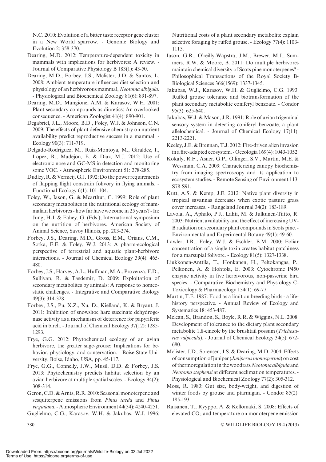N.C. 2010: Evolution of a bitter taste receptor gene cluster in a New World sparrow. - Genome Biology and Evolution 2: 358-370.

Dearing, M.D. 2012: Temperature-dependent toxicity in mammals with implications for herbivores: A review. - Journal of Comparative Physiology B 183(1): 43-50.

Dearing, M.D., Forbey, J.S., Mclister, J.D. & Santos, L. 2008: Ambient temperature influences diet selection and physiology of an herbivorous mammal, Neotoma albigula. - Physiological and Biochemical Zoology 81(6): 891-897.

Dearing, M.D., Mangione, A.M. & Karasov, W.H. 2001: Plant secondary compounds as diuretics: An overlooked consequence. - American Zoologist 41(4): 890-901.

Degabriel, J.L., Moore, B.D., Foley, W.J. & Johnson, C.N. 2009: The effects of plant defensive chemistry on nutrient availability predict reproductive success in a mammal. - Ecology 90(3): 711-719.

Delgado-Rodriguez, M., Ruiz-Montoya, M., Giraldez, I., Lopez, R., Madejon, E. & Diaz, M.J. 2012: Use of electronic nose and GC-MS in detection and monitoring some VOC. - Atmospheric Environment 51: 278-285.

Dudley, R. & Vermeij, G.J. 1992: Do the power requirements of flapping flight constrain folivory in flying animals. - Functional Ecology 6(1): 101-104.

Foley, W., Iason, G. & Mcarthur, C. 1999: Role of plant secondary metabolites in the nutritional ecology of mammalian herbivores - how far have we come in 25 years? - In: Jung, H-J. & Fahey, G. (Eds.); International symposium on the nutrition of herbivores. American Society of Animal Science, Savoy Illinois, pp. 203-274.

Forbey, J.S., Dearing, M.D., Gross, E.M., Orians, C.M., Sotka, E.E. & Foley, W.J. 2013: A pharm-ecological perspective of terrestrial and aquatic plant-herbivore interactions. - Journal of Chemical Ecology 39(4): 465- 480.

Forbey, J.S., Harvey, A.L., Huffman, M.A., Provenza, F.D., Sullivan, R. & Tasdemir, D. 2009: Exploitation of secondary metabolites by animals: A response to homeostatic challenges. - Integrative and Comparative Biology 49(3): 314-328.

Forbey, J.S., Pu, X.Z., Xu, D., Kielland, K. & Bryant, J. 2011: Inhibition of snowshoe hare succinate dehydrogenase activity as a mechanism of deterrence for papyriferic acid in birch. - Journal of Chemical Ecology 37(12): 1285- 1293.

Frye, G.G. 2012: Phytochemical ecology of an avian herbivore, the greater sage-grouse: Implications for behavior, physiology, and conservation. - Boise State University, Boise, Idaho, USA, pp. 45-117.

Frye, G.G., Connelly, J.W., Musil, D.D. & Forbey, J.S. 2013: Phytochemistry predicts habitat selection by an avian herbivore at multiple spatial scales. - Ecology 94(2): 308-314.

Geron, C.D. & Arnts, R.R. 2010: Seasonal monoterpene and sesquiterpene emissions from Pinus taeda and Pinus virginiana. - Atmospheric Environment 44(34): 4240-4251.

Guglielmo, C.G., Karasov, W.H. & Jakubas, W.J. 1996:

Nutritional costs of a plant secondary metabolite explain selective foraging by ruffed grouse. - Ecology 77(4): 1103- 1115.

Iason, G.R., O'reilly-Wapstra, J.M., Brewer, M.J., Summers, R.W. & Moore, B. 2011: Do multiple herbivores maintain chemical diversity of Scots pine monoterpenes? - Philosophical Transactions of the Royal Society B-Biological Sciences 366(1569): 1337-1345.

Jakubas, W.J., Karasov, W.H. & Guglielmo, C.G. 1993: Ruffed grouse tolerance and biotransformation of the plant secondary metabolite coniferyl benzoate. - Condor 95(3): 625-640.

Jakubas, W.J. & Mason, J.R. 1991: Role of avian trigeminal sensory system in detecting coniferyl benzoate, a plant allelochemical. - Journal of Chemical Ecology 17(11): 2213-2221.

Keeley, J.E. & Brennan, T.J. 2012: Fire-driven alien invasion in a fire-adapted ecosystem. - Oecologia 169(4): 1043-1052.

Kokaly, R.F., Asner, G.P., Ollinger, S.V., Martin, M.E. & Wessman, C.A. 2009: Characterizing canopy biochemistry from imaging spectroscopy and its application to ecosystem studies. - Remote Sensing of Environment 113: S78-S91.

Kutt, A.S. & Kemp, J.E. 2012: Native plant diversity in tropical savannas decreases when exotic pasture grass cover increases. - Rangeland Journal 34(2): 183-189.

Lavola, A., Aphalo, P.J., Lahti, M. & Julkunen-Tiitto, R. 2003: Nutrient availability and the effect of increasing UV-B radiation on secondary plant compounds in Scots pine. - Environmental and Experimental Botany 49(1): 49-60.

Lawler, I.R., Foley, W.J. & Eschler, B.M. 2000: Foliar concentration of a single toxin creates habitat patchiness for a marsupial folivore. - Ecology 81(5): 1327-1338.

Liukkonen-Anttila, T., Honkanen, H., Peltokangas, P., Pelkonen, A. & Hohtola, E. 2003: Cytochrome P450 enzyme activity in five herbivorous, non-passerine bird species. - Comparative Biochemistry and Physiology C-Toxicology & Pharmacology 134(1): 69-77.

Martin, T.E. 1987: Food as a limit on breeding birds - a lifehistory perspective. - Annual Review of Ecology and Systematics 18: 453-487.

Mclean, S., Brandon, S., Boyle, R.R. & Wiggins, N.L. 2008: Development of tolerance to the dietary plant secondary metabolite 1,8-cineole by the brushtail possum (Trichosurus vulpecula). - Journal of Chemical Ecology 34(5): 672- 680.

Mclister, J.D., Sorensen, J.S. & Dearing, M.D. 2004: Effects of consumption of juniper (Juniperus monosperma) on cost of thermoregulation in the woodrats Neotoma albigula and Neotoma stephensi at different acclimation temperatures. - Physiological and Biochemical Zoology 77(2): 305-312.

Moss, R. 1983: Gut size, body-weight, and digestion of winter foods by grouse and ptarmigan. - Condor 85(2): 185-193.

Raisanen, T., Ryyppo, A. & Kellomaki, S. 2008: Effects of elevated  $CO<sub>2</sub>$  and temperature on monoterpene emission

 $380$   $\heartsuit$ WILDLIFE BIOLOGY 19:4 (2013)